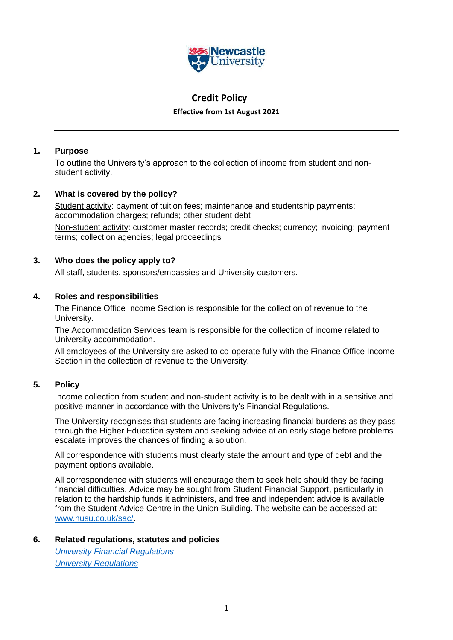

# **Credit Policy**

**Effective from 1st August 2021**

# **1. Purpose**

To outline the University's approach to the collection of income from student and nonstudent activity.

# **2. What is covered by the policy?**

Student activity: payment of tuition fees; maintenance and studentship payments; accommodation charges; refunds; other student debt

Non-student activity: customer master records; credit checks; currency; invoicing; payment terms; collection agencies; legal proceedings

# **3. Who does the policy apply to?**

All staff, students, sponsors/embassies and University customers.

# **4. Roles and responsibilities**

The Finance Office Income Section is responsible for the collection of revenue to the University.

The Accommodation Services team is responsible for the collection of income related to University accommodation.

All employees of the University are asked to co-operate fully with the Finance Office Income Section in the collection of revenue to the University.

# **5. Policy**

Income collection from student and non-student activity is to be dealt with in a sensitive and positive manner in accordance with the University's Financial Regulations.

The University recognises that students are facing increasing financial burdens as they pass through the Higher Education system and seeking advice at an early stage before problems escalate improves the chances of finding a solution.

All correspondence with students must clearly state the amount and type of debt and the payment options available.

All correspondence with students will encourage them to seek help should they be facing financial difficulties. Advice may be sought from Student Financial Support, particularly in relation to the hardship funds it administers, and free and independent advice is available from the Student Advice Centre in the Union Building. The website can be accessed at: [www.nusu.co.uk/sac/.](http://www.nusu.co.uk/sac/)

## **6. Related regulations, statutes and policies**

*[University Financial Regulations](https://newcastle.sharepoint.com/docs/Financial%20Policies/Forms/AllItems.aspx) [University Regulations](https://www.ncl.ac.uk/regulations/docs/)*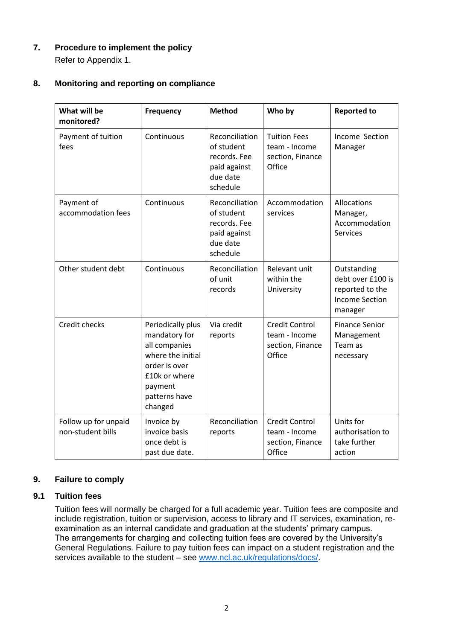**7. Procedure to implement the policy** Refer to Appendix 1.

# **8. Monitoring and reporting on compliance**

| What will be<br>monitored?                | <b>Frequency</b>                                                                                                                                  | <b>Method</b>                                                                        | Who by                                                               | <b>Reported to</b>                                                                      |
|-------------------------------------------|---------------------------------------------------------------------------------------------------------------------------------------------------|--------------------------------------------------------------------------------------|----------------------------------------------------------------------|-----------------------------------------------------------------------------------------|
| Payment of tuition<br>fees                | Continuous                                                                                                                                        | Reconciliation<br>of student<br>records. Fee<br>paid against<br>due date<br>schedule | <b>Tuition Fees</b><br>team - Income<br>section, Finance<br>Office   | Income Section<br>Manager                                                               |
| Payment of<br>accommodation fees          | Continuous                                                                                                                                        | Reconciliation<br>of student<br>records. Fee<br>paid against<br>due date<br>schedule | Accommodation<br>services                                            | Allocations<br>Manager,<br>Accommodation<br><b>Services</b>                             |
| Other student debt                        | Continuous                                                                                                                                        | Reconciliation<br>of unit<br>records                                                 | Relevant unit<br>within the<br>University                            | Outstanding<br>debt over £100 is<br>reported to the<br><b>Income Section</b><br>manager |
| Credit checks                             | Periodically plus<br>mandatory for<br>all companies<br>where the initial<br>order is over<br>£10k or where<br>payment<br>patterns have<br>changed | Via credit<br>reports                                                                | <b>Credit Control</b><br>team - Income<br>section, Finance<br>Office | <b>Finance Senior</b><br>Management<br>Team as<br>necessary                             |
| Follow up for unpaid<br>non-student bills | Invoice by<br>invoice basis<br>once debt is<br>past due date.                                                                                     | Reconciliation<br>reports                                                            | <b>Credit Control</b><br>team - Income<br>section, Finance<br>Office | Units for<br>authorisation to<br>take further<br>action                                 |

# **9. Failure to comply**

# **9.1 Tuition fees**

Tuition fees will normally be charged for a full academic year. Tuition fees are composite and include registration, tuition or supervision, access to library and IT services, examination, reexamination as an internal candidate and graduation at the students' primary campus. The arrangements for charging and collecting tuition fees are covered by the University's General Regulations. Failure to pay tuition fees can impact on a student registration and the services available to the student – see [www.ncl.ac.uk/regulations/docs/.](http://www.ncl.ac.uk/regulations/docs/)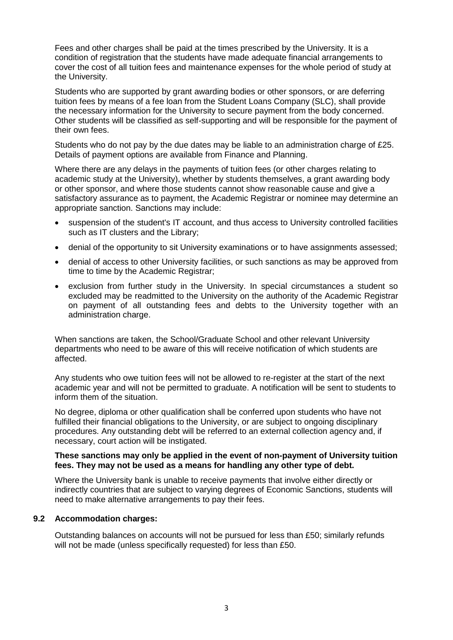Fees and other charges shall be paid at the times prescribed by the University. It is a condition of registration that the students have made adequate financial arrangements to cover the cost of all tuition fees and maintenance expenses for the whole period of study at the University.

Students who are supported by grant awarding bodies or other sponsors, or are deferring tuition fees by means of a fee loan from the Student Loans Company (SLC), shall provide the necessary information for the University to secure payment from the body concerned. Other students will be classified as self-supporting and will be responsible for the payment of their own fees.

Students who do not pay by the due dates may be liable to an administration charge of £25. Details of payment options are available from Finance and Planning.

Where there are any delays in the payments of tuition fees (or other charges relating to academic study at the University), whether by students themselves, a grant awarding body or other sponsor, and where those students cannot show reasonable cause and give a satisfactory assurance as to payment, the Academic Registrar or nominee may determine an appropriate sanction. Sanctions may include:

- suspension of the student's IT account, and thus access to University controlled facilities such as IT clusters and the Library;
- denial of the opportunity to sit University examinations or to have assignments assessed;
- denial of access to other University facilities, or such sanctions as may be approved from time to time by the Academic Registrar:
- exclusion from further study in the University. In special circumstances a student so excluded may be readmitted to the University on the authority of the Academic Registrar on payment of all outstanding fees and debts to the University together with an administration charge.

When sanctions are taken, the School/Graduate School and other relevant University departments who need to be aware of this will receive notification of which students are affected.

Any students who owe tuition fees will not be allowed to re-register at the start of the next academic year and will not be permitted to graduate. A notification will be sent to students to inform them of the situation.

No degree, diploma or other qualification shall be conferred upon students who have not fulfilled their financial obligations to the University, or are subject to ongoing disciplinary procedures. Any outstanding debt will be referred to an external collection agency and, if necessary, court action will be instigated.

#### **These sanctions may only be applied in the event of non-payment of University tuition fees. They may not be used as a means for handling any other type of debt.**

Where the University bank is unable to receive payments that involve either directly or indirectly countries that are subject to varying degrees of Economic Sanctions, students will need to make alternative arrangements to pay their fees.

## **9.2 Accommodation charges:**

Outstanding balances on accounts will not be pursued for less than £50; similarly refunds will not be made (unless specifically requested) for less than £50.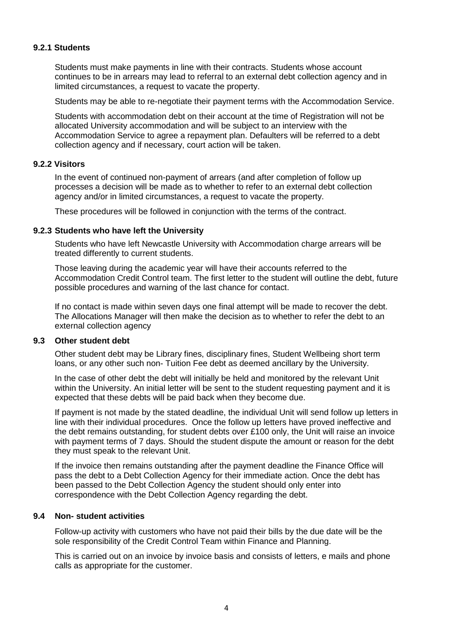#### **9.2.1 Students**

Students must make payments in line with their contracts. Students whose account continues to be in arrears may lead to referral to an external debt collection agency and in limited circumstances, a request to vacate the property.

Students may be able to re-negotiate their payment terms with the Accommodation Service.

Students with accommodation debt on their account at the time of Registration will not be allocated University accommodation and will be subject to an interview with the Accommodation Service to agree a repayment plan. Defaulters will be referred to a debt collection agency and if necessary, court action will be taken.

#### **9.2.2 Visitors**

In the event of continued non-payment of arrears (and after completion of follow up processes a decision will be made as to whether to refer to an external debt collection agency and/or in limited circumstances, a request to vacate the property.

These procedures will be followed in conjunction with the terms of the contract.

#### **9.2.3 Students who have left the University**

Students who have left Newcastle University with Accommodation charge arrears will be treated differently to current students.

Those leaving during the academic year will have their accounts referred to the Accommodation Credit Control team. The first letter to the student will outline the debt, future possible procedures and warning of the last chance for contact.

If no contact is made within seven days one final attempt will be made to recover the debt. The Allocations Manager will then make the decision as to whether to refer the debt to an external collection agency

#### **9.3 Other student debt**

Other student debt may be Library fines, disciplinary fines, Student Wellbeing short term loans, or any other such non- Tuition Fee debt as deemed ancillary by the University.

In the case of other debt the debt will initially be held and monitored by the relevant Unit within the University. An initial letter will be sent to the student requesting payment and it is expected that these debts will be paid back when they become due.

If payment is not made by the stated deadline, the individual Unit will send follow up letters in line with their individual procedures. Once the follow up letters have proved ineffective and the debt remains outstanding, for student debts over £100 only, the Unit will raise an invoice with payment terms of 7 days. Should the student dispute the amount or reason for the debt they must speak to the relevant Unit.

If the invoice then remains outstanding after the payment deadline the Finance Office will pass the debt to a Debt Collection Agency for their immediate action. Once the debt has been passed to the Debt Collection Agency the student should only enter into correspondence with the Debt Collection Agency regarding the debt.

#### **9.4 Non- student activities**

Follow-up activity with customers who have not paid their bills by the due date will be the sole responsibility of the Credit Control Team within Finance and Planning.

This is carried out on an invoice by invoice basis and consists of letters, e mails and phone calls as appropriate for the customer.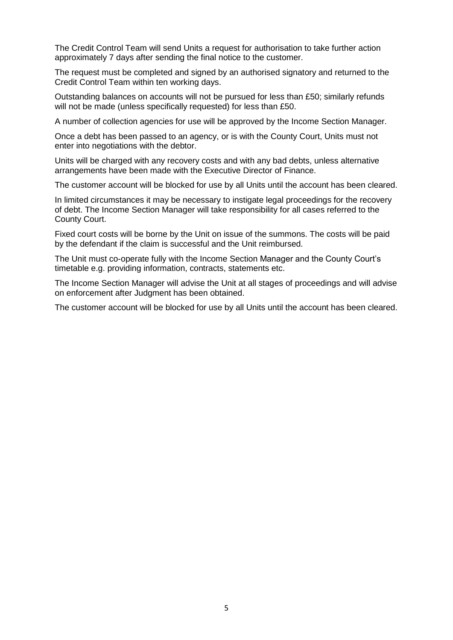The Credit Control Team will send Units a request for authorisation to take further action approximately 7 days after sending the final notice to the customer.

The request must be completed and signed by an authorised signatory and returned to the Credit Control Team within ten working days.

Outstanding balances on accounts will not be pursued for less than £50; similarly refunds will not be made (unless specifically requested) for less than £50.

A number of collection agencies for use will be approved by the Income Section Manager.

Once a debt has been passed to an agency, or is with the County Court, Units must not enter into negotiations with the debtor.

Units will be charged with any recovery costs and with any bad debts, unless alternative arrangements have been made with the Executive Director of Finance.

The customer account will be blocked for use by all Units until the account has been cleared.

In limited circumstances it may be necessary to instigate legal proceedings for the recovery of debt. The Income Section Manager will take responsibility for all cases referred to the County Court.

Fixed court costs will be borne by the Unit on issue of the summons. The costs will be paid by the defendant if the claim is successful and the Unit reimbursed.

The Unit must co-operate fully with the Income Section Manager and the County Court's timetable e.g. providing information, contracts, statements etc.

The Income Section Manager will advise the Unit at all stages of proceedings and will advise on enforcement after Judgment has been obtained.

The customer account will be blocked for use by all Units until the account has been cleared.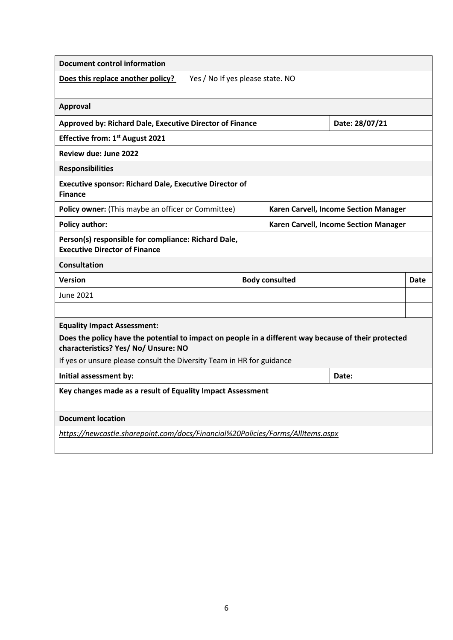| <b>Document control information</b>                                                                                                          |                                  |                                       |      |
|----------------------------------------------------------------------------------------------------------------------------------------------|----------------------------------|---------------------------------------|------|
| Does this replace another policy?                                                                                                            | Yes / No If yes please state. NO |                                       |      |
| Approval                                                                                                                                     |                                  |                                       |      |
| Approved by: Richard Dale, Executive Director of Finance                                                                                     | Date: 28/07/21                   |                                       |      |
| <b>Effective from: 1st August 2021</b>                                                                                                       |                                  |                                       |      |
| Review due: June 2022                                                                                                                        |                                  |                                       |      |
| <b>Responsibilities</b>                                                                                                                      |                                  |                                       |      |
| <b>Executive sponsor: Richard Dale, Executive Director of</b><br><b>Finance</b>                                                              |                                  |                                       |      |
| Policy owner: (This maybe an officer or Committee)                                                                                           |                                  | Karen Carvell, Income Section Manager |      |
| <b>Policy author:</b>                                                                                                                        |                                  | Karen Carvell, Income Section Manager |      |
| Person(s) responsible for compliance: Richard Dale,<br><b>Executive Director of Finance</b>                                                  |                                  |                                       |      |
| <b>Consultation</b>                                                                                                                          |                                  |                                       |      |
| <b>Version</b>                                                                                                                               | <b>Body consulted</b>            |                                       | Date |
| June 2021                                                                                                                                    |                                  |                                       |      |
|                                                                                                                                              |                                  |                                       |      |
| <b>Equality Impact Assessment:</b>                                                                                                           |                                  |                                       |      |
| Does the policy have the potential to impact on people in a different way because of their protected<br>characteristics? Yes/ No/ Unsure: NO |                                  |                                       |      |
| If yes or unsure please consult the Diversity Team in HR for guidance                                                                        |                                  |                                       |      |
| Initial assessment by:                                                                                                                       |                                  | Date:                                 |      |
| Key changes made as a result of Equality Impact Assessment                                                                                   |                                  |                                       |      |
| <b>Document location</b>                                                                                                                     |                                  |                                       |      |
| https://newcastle.sharepoint.com/docs/Financial%20Policies/Forms/AllItems.aspx                                                               |                                  |                                       |      |
|                                                                                                                                              |                                  |                                       |      |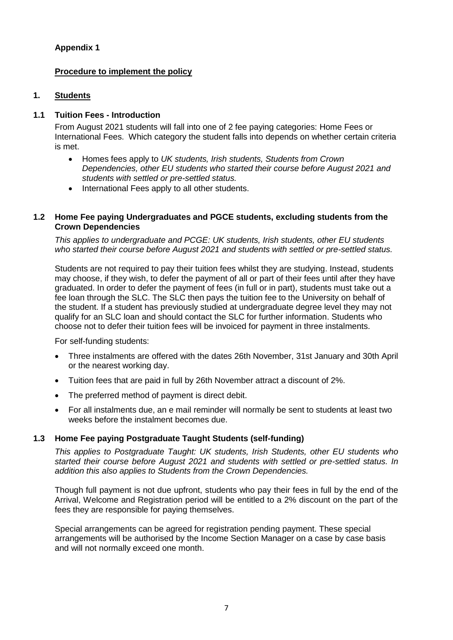# **Appendix 1**

# **Procedure to implement the policy**

# **1. Students**

# **1.1 Tuition Fees - Introduction**

From August 2021 students will fall into one of 2 fee paying categories: Home Fees or International Fees. Which category the student falls into depends on whether certain criteria is met.

- Homes fees apply to *UK students, Irish students, Students from Crown Dependencies, other EU students who started their course before August 2021 and students with settled or pre-settled status.*
- International Fees apply to all other students.

## **1.2 Home Fee paying Undergraduates and PGCE students, excluding students from the Crown Dependencies**

*This applies to undergraduate and PCGE: UK students, Irish students, other EU students who started their course before August 2021 and students with settled or pre-settled status.*

Students are not required to pay their tuition fees whilst they are studying. Instead, students may choose, if they wish, to defer the payment of all or part of their fees until after they have graduated. In order to defer the payment of fees (in full or in part), students must take out a fee loan through the SLC. The SLC then pays the tuition fee to the University on behalf of the student. If a student has previously studied at undergraduate degree level they may not qualify for an SLC loan and should contact the SLC for further information. Students who choose not to defer their tuition fees will be invoiced for payment in three instalments.

For self-funding students:

- Three instalments are offered with the dates 26th November, 31st January and 30th April or the nearest working day.
- Tuition fees that are paid in full by 26th November attract a discount of 2%.
- The preferred method of payment is direct debit.
- For all instalments due, an e mail reminder will normally be sent to students at least two weeks before the instalment becomes due.

## **1.3 Home Fee paying Postgraduate Taught Students (self-funding)**

*This applies to Postgraduate Taught: UK students, Irish Students, other EU students who started their course before August 2021 and students with settled or pre-settled status. In addition this also applies to Students from the Crown Dependencies.*

Though full payment is not due upfront, students who pay their fees in full by the end of the Arrival, Welcome and Registration period will be entitled to a 2% discount on the part of the fees they are responsible for paying themselves.

Special arrangements can be agreed for registration pending payment. These special arrangements will be authorised by the Income Section Manager on a case by case basis and will not normally exceed one month.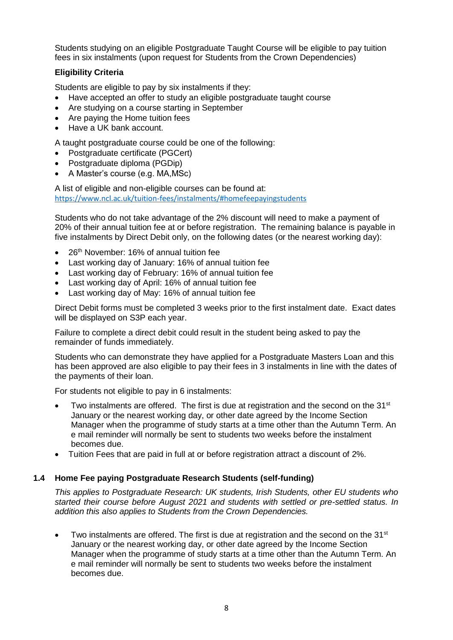Students studying on an eligible Postgraduate Taught Course will be eligible to pay tuition fees in six instalments (upon request for Students from the Crown Dependencies)

# **Eligibility Criteria**

Students are eligible to pay by six instalments if they:

- Have accepted an offer to study an eligible postgraduate taught course
- Are studying on a course starting in September
- Are paying the Home tuition fees
- Have a UK bank account.

A taught postgraduate course could be one of the following:

- Postgraduate certificate (PGCert)
- Postgraduate diploma (PGDip)
- A Master's course (e.g. MA,MSc)

A list of eligible and non-eligible courses can be found at: <https://www.ncl.ac.uk/tuition-fees/instalments/#homefeepayingstudents>

Students who do not take advantage of the 2% discount will need to make a payment of 20% of their annual tuition fee at or before registration. The remaining balance is payable in five instalments by Direct Debit only, on the following dates (or the nearest working day):

- 26<sup>th</sup> November: 16% of annual tuition fee
- Last working day of January: 16% of annual tuition fee
- Last working day of February: 16% of annual tuition fee
- Last working day of April: 16% of annual tuition fee
- Last working day of May: 16% of annual tuition fee

Direct Debit forms must be completed 3 weeks prior to the first instalment date. Exact dates will be displayed on S3P each year.

Failure to complete a direct debit could result in the student being asked to pay the remainder of funds immediately.

Students who can demonstrate they have applied for a Postgraduate Masters Loan and this has been approved are also eligible to pay their fees in 3 instalments in line with the dates of the payments of their loan.

For students not eligible to pay in 6 instalments:

- Two instalments are offered. The first is due at registration and the second on the  $31<sup>st</sup>$ January or the nearest working day, or other date agreed by the Income Section Manager when the programme of study starts at a time other than the Autumn Term. An e mail reminder will normally be sent to students two weeks before the instalment becomes due.
- Tuition Fees that are paid in full at or before registration attract a discount of 2%.

## **1.4 Home Fee paying Postgraduate Research Students (self-funding)**

*This applies to Postgraduate Research: UK students, Irish Students, other EU students who started their course before August 2021 and students with settled or pre-settled status. In addition this also applies to Students from the Crown Dependencies.*

 $\bullet$  Two instalments are offered. The first is due at registration and the second on the 31<sup>st</sup> January or the nearest working day, or other date agreed by the Income Section Manager when the programme of study starts at a time other than the Autumn Term. An e mail reminder will normally be sent to students two weeks before the instalment becomes due.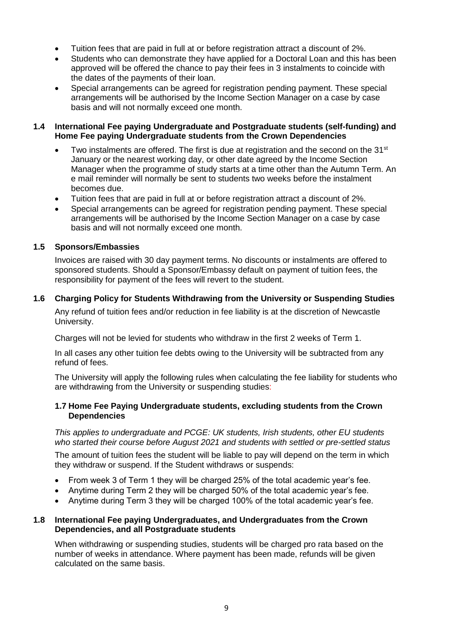- Tuition fees that are paid in full at or before registration attract a discount of 2%.
- Students who can demonstrate they have applied for a Doctoral Loan and this has been approved will be offered the chance to pay their fees in 3 instalments to coincide with the dates of the payments of their loan.
- Special arrangements can be agreed for registration pending payment. These special arrangements will be authorised by the Income Section Manager on a case by case basis and will not normally exceed one month.

## **1.4 International Fee paying Undergraduate and Postgraduate students (self-funding) and Home Fee paying Undergraduate students from the Crown Dependencies**

- $\bullet$  Two instalments are offered. The first is due at registration and the second on the 31st January or the nearest working day, or other date agreed by the Income Section Manager when the programme of study starts at a time other than the Autumn Term. An e mail reminder will normally be sent to students two weeks before the instalment becomes due.
- Tuition fees that are paid in full at or before registration attract a discount of 2%.
- Special arrangements can be agreed for registration pending payment. These special arrangements will be authorised by the Income Section Manager on a case by case basis and will not normally exceed one month.

# **1.5 Sponsors/Embassies**

Invoices are raised with 30 day payment terms. No discounts or instalments are offered to sponsored students. Should a Sponsor/Embassy default on payment of tuition fees, the responsibility for payment of the fees will revert to the student.

# **1.6 Charging Policy for Students Withdrawing from the University or Suspending Studies**

Any refund of tuition fees and/or reduction in fee liability is at the discretion of Newcastle University.

Charges will not be levied for students who withdraw in the first 2 weeks of Term 1.

In all cases any other tuition fee debts owing to the University will be subtracted from any refund of fees.

The University will apply the following rules when calculating the fee liability for students who are withdrawing from the University or suspending studies:

## **1.7 Home Fee Paying Undergraduate students, excluding students from the Crown Dependencies**

*This applies to undergraduate and PCGE: UK students, Irish students, other EU students who started their course before August 2021 and students with settled or pre-settled status*

The amount of tuition fees the student will be liable to pay will depend on the term in which they withdraw or suspend. If the Student withdraws or suspends:

- From week 3 of Term 1 they will be charged 25% of the total academic year's fee.
- Anytime during Term 2 they will be charged 50% of the total academic year's fee.
- Anytime during Term 3 they will be charged 100% of the total academic year's fee.

## **1.8 International Fee paying Undergraduates, and Undergraduates from the Crown Dependencies, and all Postgraduate students**

When withdrawing or suspending studies, students will be charged pro rata based on the number of weeks in attendance. Where payment has been made, refunds will be given calculated on the same basis.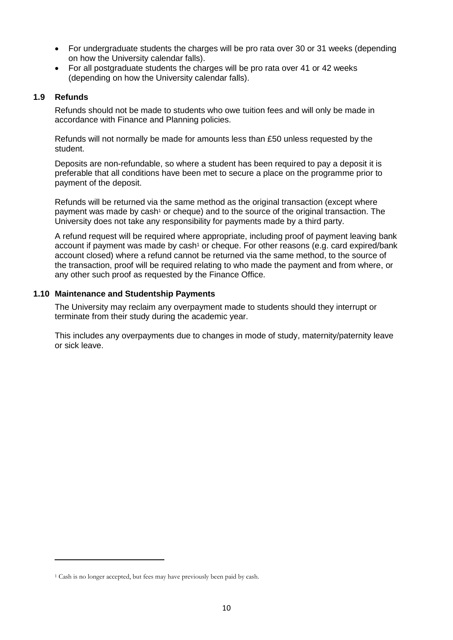- For undergraduate students the charges will be pro rata over 30 or 31 weeks (depending on how the University calendar falls).
- For all postgraduate students the charges will be pro rata over 41 or 42 weeks (depending on how the University calendar falls).

## **1.9 Refunds**

 $\overline{a}$ 

Refunds should not be made to students who owe tuition fees and will only be made in accordance with Finance and Planning policies.

Refunds will not normally be made for amounts less than £50 unless requested by the student.

Deposits are non-refundable, so where a student has been required to pay a deposit it is preferable that all conditions have been met to secure a place on the programme prior to payment of the deposit.

<span id="page-9-0"></span>Refunds will be returned via the same method as the original transaction (except where payment was made by cash<sup>1</sup> or cheque) and to the source of the original transaction. The University does not take any responsibility for payments made by a third party.

A refund request will be required where appropriate, including proof of payment leaving bank account if payment was made by cas[h](#page-9-0)<sup>1</sup> or cheque. For other reasons (e.g. card expired/bank account closed) where a refund cannot be returned via the same method, to the source of the transaction, proof will be required relating to who made the payment and from where, or any other such proof as requested by the Finance Office.

#### **1.10 Maintenance and Studentship Payments**

The University may reclaim any overpayment made to students should they interrupt or terminate from their study during the academic year.

This includes any overpayments due to changes in mode of study, maternity/paternity leave or sick leave.

<sup>1</sup> Cash is no longer accepted, but fees may have previously been paid by cash.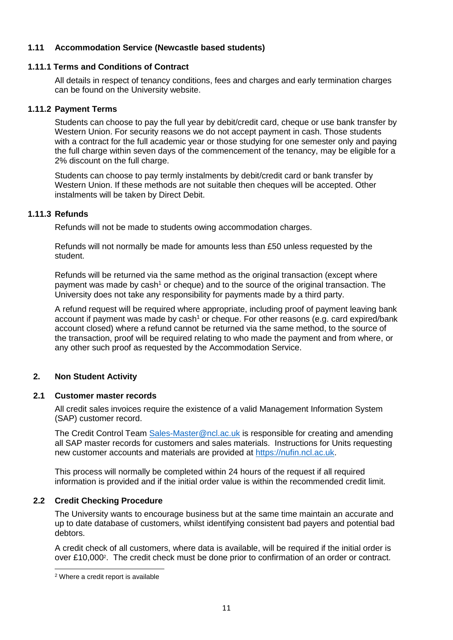## **1.11 Accommodation Service (Newcastle based students)**

#### **1.11.1 Terms and Conditions of Contract**

All details in respect of tenancy conditions, fees and charges and early termination charges can be found on the University website.

#### **1.11.2 Payment Terms**

Students can choose to pay the full year by debit/credit card, cheque or use bank transfer by Western Union. For security reasons we do not accept payment in cash. Those students with a contract for the full academic year or those studying for one semester only and paying the full charge within seven days of the commencement of the tenancy, may be eligible for a 2% discount on the full charge.

Students can choose to pay termly instalments by debit/credit card or bank transfer by Western Union. If these methods are not suitable then cheques will be accepted. Other instalments will be taken by Direct Debit.

## **1.11.3 Refunds**

Refunds will not be made to students owing accommodation charges.

Refunds will not normally be made for amounts less than £50 unless requested by the student.

Refunds will be returned via the same method as the original transaction (except where payment was made by cash<sup>[1](#page-9-0)</sup> or cheque) and to the source of the original transaction. The University does not take any responsibility for payments made by a third party.

A refund request will be required where appropriate, including proof of payment leaving bank account if payment was made by  $cash<sup>1</sup>$  $cash<sup>1</sup>$  $cash<sup>1</sup>$  or cheque. For other reasons (e.g. card expired/bank account closed) where a refund cannot be returned via the same method, to the source of the transaction, proof will be required relating to who made the payment and from where, or any other such proof as requested by the Accommodation Service.

## **2. Non Student Activity**

#### **2.1 Customer master records**

All credit sales invoices require the existence of a valid Management Information System (SAP) customer record.

The Credit Control Team [Sales-Master@ncl.ac.uk](mailto:Sales-Master@ncl.ac.uk) is responsible for creating and amending all SAP master records for customers and sales materials. Instructions for Units requesting new customer accounts and materials are provided at [https://nufin.ncl.ac.uk.](https://nufin.ncl.ac.uk/)

This process will normally be completed within 24 hours of the request if all required information is provided and if the initial order value is within the recommended credit limit.

## **2.2 Credit Checking Procedure**

The University wants to encourage business but at the same time maintain an accurate and up to date database of customers, whilst identifying consistent bad payers and potential bad debtors.

A credit check of all customers, where data is available, will be required if the initial order is over £10,000<sup>2</sup>. The credit check must be done prior to confirmation of an order or contract.

1

<sup>2</sup> Where a credit report is available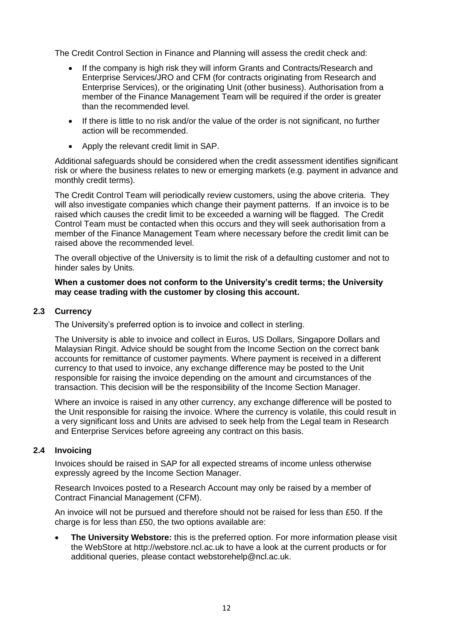The Credit Control Section in Finance and Planning will assess the credit check and:

- If the company is high risk they will inform Grants and Contracts/Research and Enterprise Services/JRO and CFM (for contracts originating from Research and Enterprise Services), or the originating Unit (other business). Authorisation from a member of the Finance Management Team will be required if the order is greater than the recommended level.
- If there is little to no risk and/or the value of the order is not significant, no further action will be recommended.
- Apply the relevant credit limit in SAP.

Additional safeguards should be considered when the credit assessment identifies significant risk or where the business relates to new or emerging markets (e.g. payment in advance and monthly credit terms).

The Credit Control Team will periodically review customers, using the above criteria. They will also investigate companies which change their payment patterns. If an invoice is to be raised which causes the credit limit to be exceeded a warning will be flagged. The Credit Control Team must be contacted when this occurs and they will seek authorisation from a member of the Finance Management Team where necessary before the credit limit can be raised above the recommended level.

The overall objective of the University is to limit the risk of a defaulting customer and not to hinder sales by Units.

#### **When a customer does not conform to the University's credit terms; the University may cease trading with the customer by closing this account.**

## **2.3 Currency**

The University's preferred option is to invoice and collect in sterling.

The University is able to invoice and collect in Euros, US Dollars, Singapore Dollars and Malaysian Ringit. Advice should be sought from the Income Section on the correct bank accounts for remittance of customer payments. Where payment is received in a different currency to that used to invoice, any exchange difference may be posted to the Unit responsible for raising the invoice depending on the amount and circumstances of the transaction. This decision will be the responsibility of the Income Section Manager.

Where an invoice is raised in any other currency, any exchange difference will be posted to the Unit responsible for raising the invoice. Where the currency is volatile, this could result in a very significant loss and Units are advised to seek help from the Legal team in Research and Enterprise Services before agreeing any contract on this basis.

#### **2.4 Invoicing**

Invoices should be raised in SAP for all expected streams of income unless otherwise expressly agreed by the Income Section Manager.

Research Invoices posted to a Research Account may only be raised by a member of Contract Financial Management (CFM).

An invoice will not be pursued and therefore should not be raised for less than £50. If the charge is for less than £50, the two options available are:

 **The University Webstore:** this is the preferred option. For more information please visit the WebStore at http://webstore.ncl.ac.uk to have a look at the current products or for additional queries, please contact [webstorehelp@ncl.ac.uk.](mailto:webstorehelp@ncl.ac.uk)